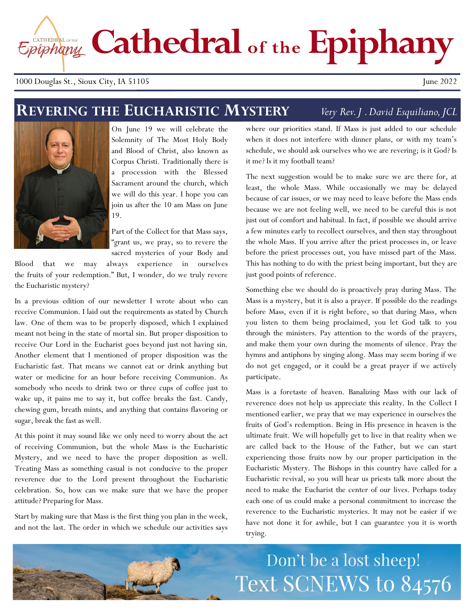Epiphany Cathedral of the Epiphany

#### 1000 Douglas St., Sioux City, IA 51105 June 2022

## **REVERING THE EUCHARISTIC MYSTERY**

#### *Very Rev. J . David Esquiliano, JCL*



On June 19 we will celebrate the Solemnity of The Most Holy Body and Blood of Christ, also known as Corpus Christi. Traditionally there is a procession with the Blessed Sacrament around the church, which we will do this year. I hope you can join us after the 10 am Mass on June 19.

Part of the Collect for that Mass says, "grant us, we pray, so to revere the sacred mysteries of your Body and

Blood that we may always experience in ourselves the fruits of your redemption." But, I wonder, do we truly revere the Eucharistic mystery?

In a previous edition of our newsletter I wrote about who can receive Communion. I laid out the requirements as stated by Church law. One of them was to be properly disposed, which I explained meant not being in the state of mortal sin. But proper disposition to receive Our Lord in the Eucharist goes beyond just not having sin. Another element that I mentioned of proper disposition was the Eucharistic fast. That means we cannot eat or drink anything but water or medicine for an hour before receiving Communion. As somebody who needs to drink two or three cups of coffee just to wake up, it pains me to say it, but coffee breaks the fast. Candy, chewing gum, breath mints, and anything that contains flavoring or sugar, break the fast as well.

At this point it may sound like we only need to worry about the act of receiving Communion, but the whole Mass is the Eucharistic Mystery, and we need to have the proper disposition as well. Treating Mass as something casual is not conducive to the proper reverence due to the Lord present throughout the Eucharistic celebration. So, how can we make sure that we have the proper attitude? Preparing for Mass.

Start by making sure that Mass is the first thing you plan in the week, and not the last. The order in which we schedule our activities says

where our priorities stand. If Mass is just added to our schedule when it does not interfere with dinner plans, or with my team's schedule, we should ask ourselves who we are revering; is it God? Is it me? Is it my football team?

The next suggestion would be to make sure we are there for, at least, the whole Mass. While occasionally we may be delayed because of car issues, or we may need to leave before the Mass ends because we are not feeling well, we need to be careful this is not just out of comfort and habitual. In fact, if possible we should arrive a few minutes early to recollect ourselves, and then stay throughout the whole Mass. If you arrive after the priest processes in, or leave before the priest processes out, you have missed part of the Mass. This has nothing to do with the priest being important, but they are just good points of reference.

Something else we should do is proactively pray during Mass. The Mass is a mystery, but it is also a prayer. If possible do the readings before Mass, even if it is right before, so that during Mass, when you listen to them being proclaimed, you let God talk to you through the ministers. Pay attention to the words of the prayers, and make them your own during the moments of silence. Pray the hymns and antiphons by singing along. Mass may seem boring if we do not get engaged, or it could be a great prayer if we actively participate.

Mass is a foretaste of heaven. Banalizing Mass with our lack of reverence does not help us appreciate this reality. In the Collect I mentioned earlier, we pray that we may experience in ourselves the fruits of God's redemption. Being in His presence in heaven is the ultimate fruit. We will hopefully get to live in that reality when we are called back to the House of the Father, but we can start experiencing those fruits now by our proper participation in the Eucharistic Mystery. The Bishops in this country have called for a Eucharistic revival, so you will hear us priests talk more about the need to make the Eucharist the center of our lives. Perhaps today each one of us could make a personal commitment to increase the reverence to the Eucharistic mysteries. It may not be easier if we have not done it for awhile, but I can guarantee you it is worth trying.

## Don't be a lost sheep! Text SCNEWS to 84576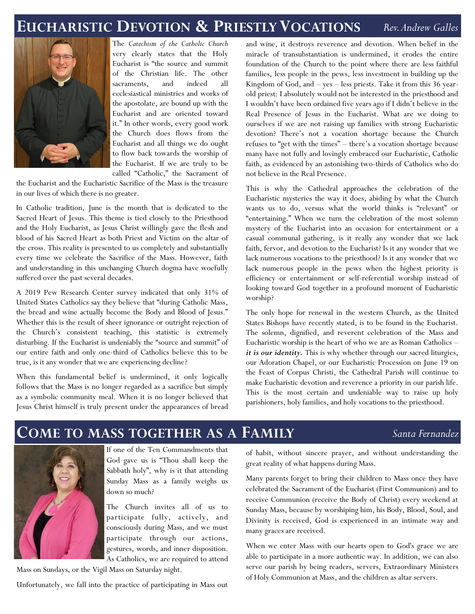#### **EUCHARISTIC DEVOTION & PRIESTLYVOCATIONS** *Rev. Andrew Galles*



The *Catechism of the Catholic Church*  very clearly states that the Holy Eucharist is "the source and summit of the Christian life. The other sacraments, and indeed all ecclesiastical ministries and works of the apostolate, are bound up with the Eucharist and are oriented toward it." In other words, every good work the Church does flows from the Eucharist and all things we do ought to flow back towards the worship of the Eucharist. If we are truly to be called "Catholic," the Sacrament of

the Eucharist and the Eucharistic Sacrifice of the Mass is the treasure in our lives of which there is no greater.

In Catholic tradition, June is the month that is dedicated to the Sacred Heart of Jesus. This theme is tied closely to the Priesthood and the Holy Eucharist, as Jesus Christ willingly gave the flesh and blood of his Sacred Heart as both Priest and Victim on the altar of the cross. This reality is presented to us completely and substantially every time we celebrate the Sacrifice of the Mass. However, faith and understanding in this unchanging Church dogma have woefully suffered over the past several decades.

A 2019 Pew Research Center survey indicated that only 31% of United States Catholics say they believe that "during Catholic Mass, the bread and wine actually become the Body and Blood of Jesus." Whether this is the result of sheer ignorance or outright rejection of the Church's consistent teaching, this statistic is extremely disturbing. If the Eucharist is undeniably the "source and summit" of our entire faith and only one-third of Catholics believe this to be true, is it any wonder that we are experiencing decline?

When this fundamental belief is undermined, it only logically follows that the Mass is no longer regarded as a sacrifice but simply as a symbolic community meal. When it is no longer believed that Jesus Christ himself is truly present under the appearances of bread

and wine, it destroys reverence and devotion. When belief in the miracle of transubstantiation is undermined, it erodes the entire foundation of the Church to the point where there are less faithful families, less people in the pews, less investment in building up the Kingdom of God, and – yes – less priests. Take it from this 36 yearold priest: I absolutely would not be interested in the priesthood and I wouldn't have been ordained five years ago if I didn't believe in the Real Presence of Jesus in the Eucharist. What are we doing to ourselves if we are not raising up families with strong Eucharistic devotion? There's not a vocation shortage because the Church refuses to "get with the times" – there's a vocation shortage because many have not fully and lovingly embraced our Eucharistic, Catholic faith, as evidenced by an astonishing two-thirds of Catholics who do not believe in the Real Presence.

This is why the Cathedral approaches the celebration of the Eucharistic mysteries the way it does, abiding by what the Church wants us to do, versus what the world thinks is "relevant" or "entertaining." When we turn the celebration of the most solemn mystery of the Eucharist into an occasion for entertainment or a casual communal gathering, is it really any wonder that we lack faith, fervor, and devotion to the Eucharist? Is it any wonder that we lack numerous vocations to the priesthood? Is it any wonder that we lack numerous people in the pews when the highest priority is efficiency or entertainment or self-referential worship instead of looking toward God together in a profound moment of Eucharistic worship?

The only hope for renewal in the western Church, as the United States Bishops have recently stated, is to be found in the Eucharist. The solemn, dignified, and reverent celebration of the Mass and Eucharistic worship is the heart of who we are as Roman Catholics – *it is our identity.* This is why whether through our sacred liturgies, our Adoration Chapel, or our Eucharistic Procession on June 19 on the Feast of Corpus Christi, the Cathedral Parish will continue to make Eucharistic devotion and reverence a priority in our parish life. This is the most certain and undeniable way to raise up holy parishioners, holy families, and holy vocations to the priesthood.

### **COME TO MASS TOGETHER AS A FAMILY**



If one of the Ten Commandments that God gave us is "Thou shall keep the Sabbath holy", why is it that attending Sunday Mass as a family weighs us down so much?

The Church invites all of us to participate fully, actively, and consciously during Mass, and we must participate through our actions, gestures, words, and inner disposition. As Catholics, we are required to attend

Mass on Sundays, or the Vigil Mass on Saturday night.

Unfortunately, we fall into the practice of participating in Mass out

of habit, without sincere prayer, and without understanding the great reality of what happens during Mass.

Many parents forget to bring their children to Mass once they have celebrated the Sacrament of the Eucharist (First Communion) and to receive Communion (receive the Body of Christ) every weekend at Sunday Mass, because by worshiping him, his Body, Blood, Soul, and Divinity is received, God is experienced in an intimate way and many graces are received.

When we enter Mass with our hearts open to God's grace we are able to participate in a more authentic way. In addition, we can also serve our parish by being readers, servers, Extraordinary Ministers of Holy Communion at Mass, and the children as altar servers.

#### *Santa Fernandez*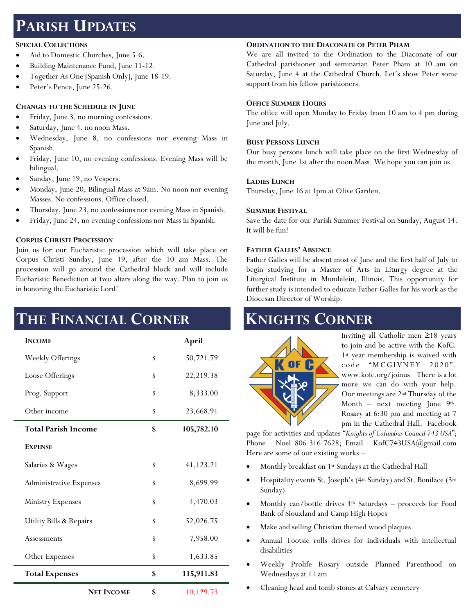## **PARISH UPDATES**

#### **SPECIAL COLLECTIONS**

- Aid to Domestic Churches, June 5-6.
- Building Maintenance Fund, June 11-12.
- Together As One [Spanish Only], June 18-19.
- Peter's Pence, June 25-26.

#### **CHANGES TO THE SCHEDULE IN JUNE**

- Friday, June 3, no morning confessions.
- Saturday, June 4, no noon Mass.
- Wednesday, June 8, no confessions nor evening Mass in Spanish.
- Friday, June 10, no evening confessions. Evening Mass will be bilingual.
- Sunday, June 19, no Vespers.
- Monday, June 20, Bilingual Mass at 9am. No noon nor evening Masses. No confessions. Office closed.
- Thursday, June 23, no confessions nor evening Mass in Spanish.
- Friday, June 24, no evening confessions nor Mass in Spanish.

#### **CORPUS CHRISTI PROCESSION**

Join us for our Eucharistic procession which will take place on Corpus Christi Sunday, June 19, after the 10 am Mass. The procession will go around the Cathedral block and will include Eucharistic Benediction at two altars along the way. Plan to join us in honoring the Eucharistic Lord!

## **THE FINANCIAL CORNER**

| <b>INCOME</b>                  |    | April         |
|--------------------------------|----|---------------|
| Weekly Offerings               | \$ | 50,721.79     |
| Loose Offerings                | \$ | 22,219.38     |
| Prog. Support                  | \$ | 8,333.00      |
| Other income                   | \$ | 23,668.91     |
| <b>Total Parish Income</b>     | \$ | 105,782.10    |
| <b>EXPENSE</b>                 |    |               |
| Salaries & Wages               | \$ | 41,123.21     |
| <b>Administrative Expenses</b> | \$ | 8,699.99      |
| <b>Ministry Expenses</b>       | S  | 4,470.03      |
| Utility Bills & Repairs        | \$ | 52,026.75     |
| Assessments                    | \$ | 7,958.00      |
| Other Expenses                 | \$ | 1,633.85      |
| <b>Total Expenses</b>          | \$ | 115,911.83    |
| <b>NET INCOME</b>              | \$ | $-10, 129.73$ |

#### **ORDINATION TO THE DIACONATE OF PETER PHAM**

We are all invited to the Ordination to the Diaconate of our Cathedral parishioner and seminarian Peter Pham at 10 am on Saturday, June 4 at the Cathedral Church. Let's show Peter some support from his fellow parishioners.

#### **OFFICE SUMMER HOURS**

The office will open Monday to Friday from 10 am to 4 pm during June and July.

#### **BUSY PERSONS LUNCH**

Our busy persons lunch will take place on the first Wednesday of the month, June 1st after the noon Mass. We hope you can join us.

#### **LADIES LUNCH**

Thursday, June 16 at 1pm at Olive Garden.

#### **SUMMER FESTIVAL**

Save the date for our Parish Summer Festival on Sunday, August 14. It will be fun!

#### **FATHER GALLES' ABSENCE**

Father Galles will be absent most of June and the first half of July to begin studying for a Master of Arts in Liturgy degree at the Liturgical Institute in Mundelein, Illinois. This opportunity for further study is intended to educate Father Galles for his work as the Diocesan Director of Worship.

## **KNIGHTS CORNER**



Inviting all Catholic men ≥18 years to join and be active with the KofC. 1st year membership is waived with code "MCGIVNEY 2020". [www.kofc.org/joinus.](http://www.kofc.org/joinus) There is a lot more we can do with your help. Our meetings are 2nd Thursday of the Month – next meeting June  $9<sup>th</sup>$ . Rosary at 6:30 pm and meeting at 7 pm in the Cathedral Hall. Facebook

page for activities and updates "*Knights of Columbus Council 743 USA*"; Phone - Noel 806-316-7628; Email - KofC743USA@gmail.com Here are some of our existing works –

- Monthly breakfast on 1st Sundays at the Cathedral Hall
- Hospitality events St. Joseph's (4th Sunday) and St. Boniface (3rd Sunday)
- Monthly can/bottle drives 4th Saturdays proceeds for Food Bank of Siouxland and Camp High Hopes
- Make and selling Christian themed wood plaques
- Annual Tootsie rolls drives for individuals with intellectual disabilities
- Weekly Prolife Rosary outside Planned Parenthood on Wednesdays at 11 am
- Cleaning head and tomb stones at Calvary cemetery